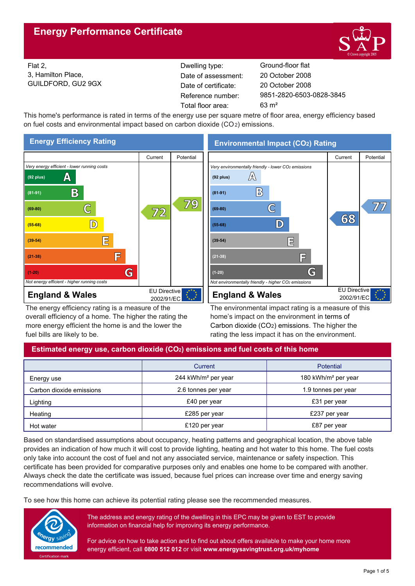

Flat 2, 3, Hamilton Place, GUILDFORD, GU2 9GX Reference number: Dwelling type: Ground-floor flat Date of certificate: Total floor area: 63 m² Date of assessment:

9851-2820-6503-0828-3845 20 October 2008 20 October 2008

This home's performance is rated in terms of the energy use per square metre of floor area, energy efficiency based on fuel costs and environmental impact based on carbon dioxide (CO2) emissions.



The energy efficiency rating is a measure of the overall efficiency of a home. The higher the rating the more energy efficient the home is and the lower the fuel bills are likely to be.

**Environmental Impact (CO2) Rating**



The environmental impact rating is a measure of this home's impact on the environment in terms of Carbon dioxide (CO2) emissions. The higher the rating the less impact it has on the environment.

# **Estimated energy use, carbon dioxide (CO2) emissions and fuel costs of this home**

|                          | Current                                    | <b>Potential</b>                |
|--------------------------|--------------------------------------------|---------------------------------|
| Energy use               | 244 kWh/m <sup>2</sup> per year            | 180 kWh/m <sup>2</sup> per year |
| Carbon dioxide emissions | 2.6 tonnes per year<br>1.9 tonnes per year |                                 |
| Lighting                 | £40 per year                               | £31 per year                    |
| Heating                  | £285 per year                              | £237 per year                   |
| Hot water                | £120 per year                              | £87 per year                    |

Based on standardised assumptions about occupancy, heating patterns and geographical location, the above table provides an indication of how much it will cost to provide lighting, heating and hot water to this home. The fuel costs only take into account the cost of fuel and not any associated service, maintenance or safety inspection. This certificate has been provided for comparative purposes only and enables one home to be compared with another. Always check the date the certificate was issued, because fuel prices can increase over time and energy saving recommendations will evolve.

To see how this home can achieve its potential rating please see the recommended measures.



The address and energy rating of the dwelling in this EPC may be given to EST to provide information on financial help for improving its energy performance.

For advice on how to take action and to find out about offers available to make your home more energy efficient, call **0800 512 012** or visit **www.energysavingtrust.org.uk/myhome**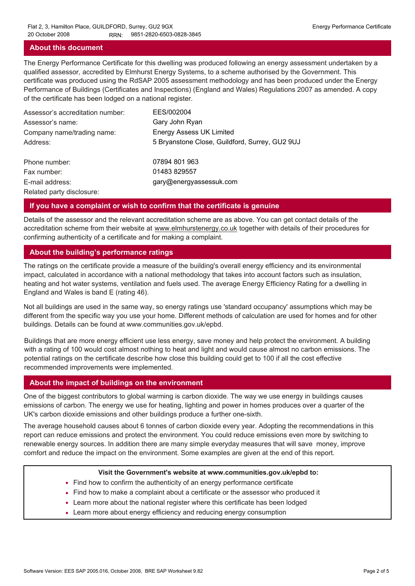### **About this document**

The Energy Performance Certificate for this dwelling was produced following an energy assessment undertaken by a qualified assessor, accredited by Elmhurst Energy Systems, to a scheme authorised by the Government. This certificate was produced using the RdSAP 2005 assessment methodology and has been produced under the Energy Performance of Buildings (Certificates and Inspections) (England and Wales) Regulations 2007 as amended. A copy of the certificate has been lodged on a national register.

| Assessor's accreditation number: | EES/002004                                     |
|----------------------------------|------------------------------------------------|
| Assessor's name:                 | Gary John Ryan                                 |
| Company name/trading name:       | <b>Energy Assess UK Limited</b>                |
| Address:                         | 5 Bryanstone Close, Guildford, Surrey, GU2 9UJ |
| Phone number:                    | 07894 801 963                                  |
| Fax number:                      | 01483 829557                                   |
| E-mail address:                  | gary@energyassessuk.com                        |
| Related party disclosure:        |                                                |

### **If you have a complaint or wish to confirm that the certificate is genuine**

Details of the assessor and the relevant accreditation scheme are as above. You can get contact details of the accreditation scheme from their website at www.elmhurstenergy.co.uk together with details of their procedures for confirming authenticity of a certificate and for making a complaint.

### **About the building's performance ratings**

The ratings on the certificate provide a measure of the building's overall energy efficiency and its environmental impact, calculated in accordance with a national methodology that takes into account factors such as insulation, heating and hot water systems, ventilation and fuels used. The average Energy Efficiency Rating for a dwelling in England and Wales is band E (rating 46).

Not all buildings are used in the same way, so energy ratings use 'standard occupancy' assumptions which may be different from the specific way you use your home. Different methods of calculation are used for homes and for other buildings. Details can be found at www.communities.gov.uk/epbd.

Buildings that are more energy efficient use less energy, save money and help protect the environment. A building with a rating of 100 would cost almost nothing to heat and light and would cause almost no carbon emissions. The potential ratings on the certificate describe how close this building could get to 100 if all the cost effective recommended improvements were implemented.

### **About the impact of buildings on the environment**

One of the biggest contributors to global warming is carbon dioxide. The way we use energy in buildings causes emissions of carbon. The energy we use for heating, lighting and power in homes produces over a quarter of the UK's carbon dioxide emissions and other buildings produce a further one-sixth.

The average household causes about 6 tonnes of carbon dioxide every year. Adopting the recommendations in this report can reduce emissions and protect the environment. You could reduce emissions even more by switching to renewable energy sources. In addition there are many simple everyday measures that will save money, improve comfort and reduce the impact on the environment. Some examples are given at the end of this report.

#### **Visit the Government's website at www.communities.gov.uk/epbd to:**

- Find how to confirm the authenticity of an energy performance certificate
- Find how to make a complaint about a certificate or the assessor who produced it •
- Learn more about the national register where this certificate has been lodged •
- Learn more about energy efficiency and reducing energy consumption •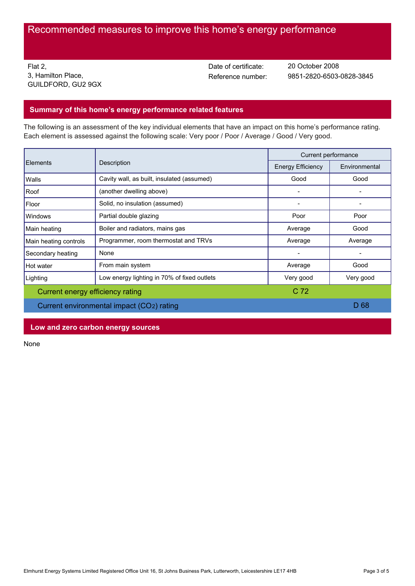Flat 2, 3, Hamilton Place, GUILDFORD, GU2 9GX Date of certificate:

Reference number: 9851-2820-6503-0828-3845 20 October 2008

## **Summary of this home's energy performance related features**

The following is an assessment of the key individual elements that have an impact on this home's performance rating. Each element is assessed against the following scale: Very poor / Poor / Average / Good / Very good.

| Description<br>Elements                   |                                             | Current performance      |               |
|-------------------------------------------|---------------------------------------------|--------------------------|---------------|
|                                           |                                             | <b>Energy Efficiency</b> | Environmental |
| Walls                                     | Cavity wall, as built, insulated (assumed)  | Good                     | Good          |
| Roof                                      | (another dwelling above)                    |                          |               |
| Floor                                     | Solid, no insulation (assumed)              |                          |               |
| <b>Windows</b>                            | Partial double glazing                      | Poor                     | Poor          |
| Main heating                              | Boiler and radiators, mains gas             | Average                  | Good          |
| Main heating controls                     | Programmer, room thermostat and TRVs        | Average                  | Average       |
| Secondary heating                         | None                                        |                          |               |
| Hot water                                 | From main system                            | Average                  | Good          |
| Lighting                                  | Low energy lighting in 70% of fixed outlets | Very good                | Very good     |
| Current energy efficiency rating          |                                             | C <sub>72</sub>          |               |
| Current environmental impact (CO2) rating |                                             |                          | D 68          |

**Low and zero carbon energy sources**

None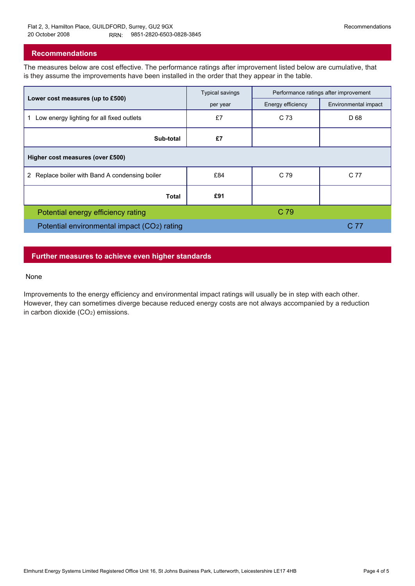## **Recommendations**

The measures below are cost effective. The performance ratings after improvement listed below are cumulative, that is they assume the improvements have been installed in the order that they appear in the table.

|                                                 | <b>Typical savings</b> | Performance ratings after improvement |                      |  |  |  |
|-------------------------------------------------|------------------------|---------------------------------------|----------------------|--|--|--|
| Lower cost measures (up to £500)                | per year               | Energy efficiency                     | Environmental impact |  |  |  |
| Low energy lighting for all fixed outlets<br>1. | £7                     | C 73                                  | D 68                 |  |  |  |
| Sub-total                                       | £7                     |                                       |                      |  |  |  |
| Higher cost measures (over £500)                |                        |                                       |                      |  |  |  |
| 2 Replace boiler with Band A condensing boiler  | £84                    | C 79                                  | C 77                 |  |  |  |
| Total                                           | £91                    |                                       |                      |  |  |  |
| Potential energy efficiency rating              |                        | C 79                                  |                      |  |  |  |
| Potential environmental impact (CO2) rating     |                        |                                       | C 77                 |  |  |  |

## **Further measures to achieve even higher standards**

### None

Improvements to the energy efficiency and environmental impact ratings will usually be in step with each other. However, they can sometimes diverge because reduced energy costs are not always accompanied by a reduction in carbon dioxide (CO2) emissions.